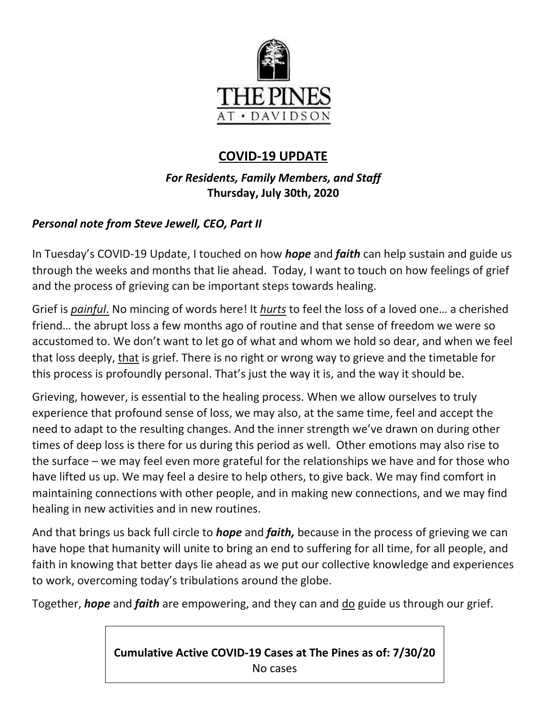

# **COVID-19 UPDATE**

# *For Residents, Family Members, and Staff* **Thursday, July 30th, 2020**

## *Personal note from Steve Jewell, CEO, Part II*

In Tuesday's COVID-19 Update, I touched on how *hope* and *faith* can help sustain and guide us through the weeks and months that lie ahead. Today, I want to touch on how feelings of grief and the process of grieving can be important steps towards healing.

Grief is *painful*. No mincing of words here! It *hurts* to feel the loss of a loved one… a cherished friend… the abrupt loss a few months ago of routine and that sense of freedom we were so accustomed to. We don't want to let go of what and whom we hold so dear, and when we feel that loss deeply, that is grief. There is no right or wrong way to grieve and the timetable for this process is profoundly personal. That's just the way it is, and the way it should be.

Grieving, however, is essential to the healing process. When we allow ourselves to truly experience that profound sense of loss, we may also, at the same time, feel and accept the need to adapt to the resulting changes. And the inner strength we've drawn on during other times of deep loss is there for us during this period as well. Other emotions may also rise to the surface – we may feel even more grateful for the relationships we have and for those who have lifted us up. We may feel a desire to help others, to give back. We may find comfort in maintaining connections with other people, and in making new connections, and we may find healing in new activities and in new routines.

And that brings us back full circle to *hope* and *faith,* because in the process of grieving we can have hope that humanity will unite to bring an end to suffering for all time, for all people, and faith in knowing that better days lie ahead as we put our collective knowledge and experiences to work, overcoming today's tribulations around the globe.

Together, *hope* and *faith* are empowering, and they can and do guide us through our grief.

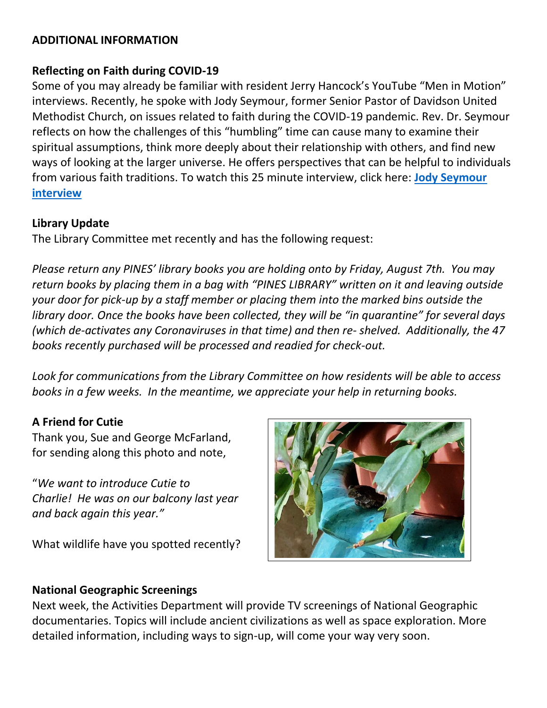#### **ADDITIONAL INFORMATION**

#### **Reflecting on Faith during COVID-19**

Some of you may already be familiar with resident Jerry Hancock's YouTube "Men in Motion" interviews. Recently, he spoke with Jody Seymour, former Senior Pastor of Davidson United Methodist Church, on issues related to faith during the COVID-19 pandemic. Rev. Dr. Seymour reflects on how the challenges of this "humbling" time can cause many to examine their spiritual assumptions, think more deeply about their relationship with others, and find new ways of looking at the larger universe. He offers perspectives that can be helpful to individuals from various faith traditions. To watch this 25 minute interview, click here: **[Jody Seymour](https://www.youtube.com/watch?v=P2PvdT_klpA&feature=youtu.be)  [interview](https://www.youtube.com/watch?v=P2PvdT_klpA&feature=youtu.be)**

#### **Library Update**

The Library Committee met recently and has the following request:

*Please return any PINES' library books you are holding onto by Friday, August 7th. You may return books by placing them in a bag with "PINES LIBRARY" written on it and leaving outside your door for pick-up by a staff member or placing them into the marked bins outside the library door. Once the books have been collected, they will be "in quarantine" for several days (which de-activates any Coronaviruses in that time) and then re- shelved. Additionally, the 47 books recently purchased will be processed and readied for check-out.* 

*Look for communications from the Library Committee on how residents will be able to access books in a few weeks. In the meantime, we appreciate your help in returning books.*

### **A Friend for Cutie**

Thank you, Sue and George McFarland, for sending along this photo and note,

"*We want to introduce Cutie to Charlie! He was on our balcony last year and back again this year."* 

What wildlife have you spotted recently?



### **National Geographic Screenings**

Next week, the Activities Department will provide TV screenings of National Geographic documentaries. Topics will include ancient civilizations as well as space exploration. More detailed information, including ways to sign-up, will come your way very soon.